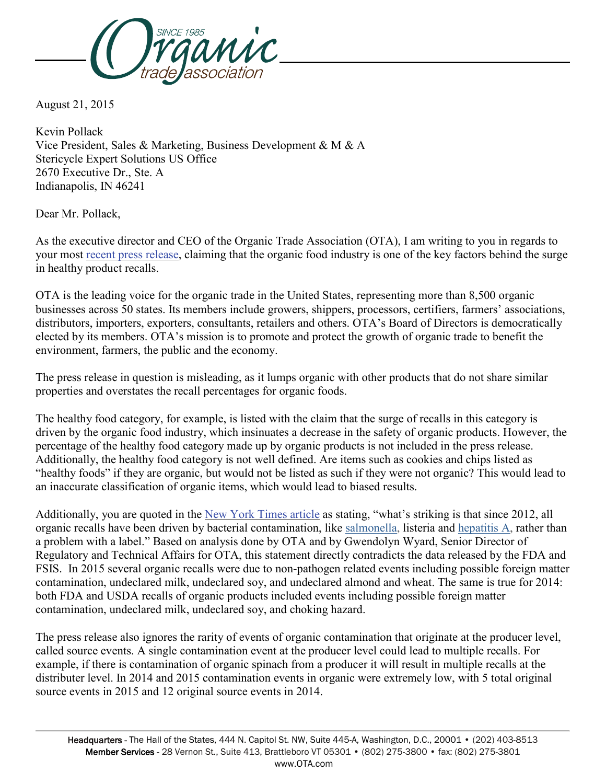

August 21, 2015

Kevin Pollack Vice President, Sales & Marketing, Business Development & M & A Stericycle Expert Solutions US Office 2670 Executive Dr., Ste. A Indianapolis, IN 46241

Dear Mr. Pollack,

As the executive director and CEO of the Organic Trade Association (OTA), I am writing to you in regards to your most recent press [release,](http://money.cnn.com/news/newsfeeds/articles/marketwire/1213414.htm) claiming that the organic food industry is one of the key factors behind the surge in healthy product recalls.

OTA is the leading voice for the organic trade in the United States, representing more than 8,500 organic businesses across 50 states. Its members include growers, shippers, processors, certifiers, farmers' associations, distributors, importers, exporters, consultants, retailers and others. OTA's Board of Directors is democratically elected by its members. OTA's mission is to promote and protect the growth of organic trade to benefit the environment, farmers, the public and the economy.

The press release in question is misleading, as it lumps organic with other products that do not share similar properties and overstates the recall percentages for organic foods.

The healthy food category, for example, is listed with the claim that the surge of recalls in this category is driven by the organic food industry, which insinuates a decrease in the safety of organic products. However, the percentage of the healthy food category made up by organic products is not included in the press release. Additionally, the healthy food category is not well defined. Are items such as cookies and chips listed as "healthy foods" if they are organic, but would not be listed as such if they were not organic? This would lead to an inaccurate classification of organic items, which would lead to biased results.

Additionally, you are quoted in the New York [Times](http://www.nytimes.com/2015/08/21/business/recalls-of-organic-food-on-the-rise-report-says.html?_r=0) article as stating, "what's striking is that since 2012, all organic recalls have been driven by bacterial contamination, like [salmonella,](http://health.nytimes.com/health/guides/disease/salmonella-enterocolitis/overview.html?inline=nyt-classifier) listeria and [hepatitis A,](http://health.nytimes.com/health/guides/disease/hepatitis-a/overview.html?inline=nyt-classifier) rather than a problem with a label." Based on analysis done by OTA and by Gwendolyn Wyard, Senior Director of Regulatory and Technical Affairs for OTA, this statement directly contradicts the data released by the FDA and FSIS. In 2015 several organic recalls were due to non-pathogen related events including possible foreign matter contamination, undeclared milk, undeclared soy, and undeclared almond and wheat. The same is true for 2014: both FDA and USDA recalls of organic products included events including possible foreign matter contamination, undeclared milk, undeclared soy, and choking hazard.

The press release also ignores the rarity of events of organic contamination that originate at the producer level, called source events. A single contamination event at the producer level could lead to multiple recalls. For example, if there is contamination of organic spinach from a producer it will result in multiple recalls at the distributer level. In 2014 and 2015 contamination events in organic were extremely low, with 5 total original source events in 2015 and 12 original source events in 2014.